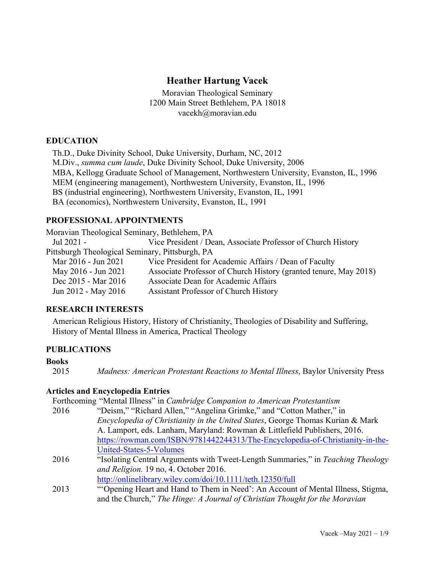## **Heather Hartung Vacek**

Moravian Theological Seminary 1200 Main Street Bethlehem, PA 18018 vacekh@moravian.edu

### **EDUCATION**

Th.D., Duke Divinity School, Duke University, Durham, NC, 2012 M.Div., *summa cum laude*, Duke Divinity School, Duke University, 2006 MBA, Kellogg Graduate School of Management, Northwestern University, Evanston, IL, 1996 MEM (engineering management), Northwestern University, Evanston, IL, 1996 BS (industrial engineering), Northwestern University, Evanston, IL, 1991 BA (economics), Northwestern University, Evanston, IL, 1991

### **PROFESSIONAL APPOINTMENTS**

Moravian Theological Seminary, Bethlehem, PA Jul 2021 - Vice President / Dean, Associate Professor of Church History Pittsburgh Theological Seminary, Pittsburgh, PA Mar 2016 - Jun 2021 Vice President for Academic Affairs / Dean of Faculty May 2016 - Jun 2021 Associate Professor of Church History (granted tenure, May 2018) Dec 2015 - Mar 2016 Associate Dean for Academic Affairs Jun 2012 - May 2016 Assistant Professor of Church History

### **RESEARCH INTERESTS**

American Religious History, History of Christianity, Theologies of Disability and Suffering, History of Mental Illness in America, Practical Theology

### **PUBLICATIONS**

### **Books**

2015 *Madness: American Protestant Reactions to Mental Illness*, Baylor University Press

### **Articles and Encyclopedia Entries**

Forthcoming "Mental Illness" in *Cambridge Companion to American Protestantism*

- 2016 "Deism," "Richard Allen," "Angelina Grimke," and "Cotton Mather," in *Encyclopedia of Christianity in the United States*, George Thomas Kurian & Mark A. Lamport, eds. Lanham, Maryland: Rowman & Littlefield Publishers, 2016. https://rowman.com/ISBN/9781442244313/The-Encyclopedia-of-Christianity-in-the-United-States-5-Volumes
- 2016 "Isolating Central Arguments with Tweet-Length Summaries," in *Teaching Theology and Religion.* 19 no, 4. October 2016.
	- http://onlinelibrary.wiley.com/doi/10.1111/teth.12350/full
- 2013 "'Opening Heart and Hand to Them in Need': An Account of Mental Illness, Stigma, and the Church," *The Hinge: A Journal of Christian Thought for the Moravian*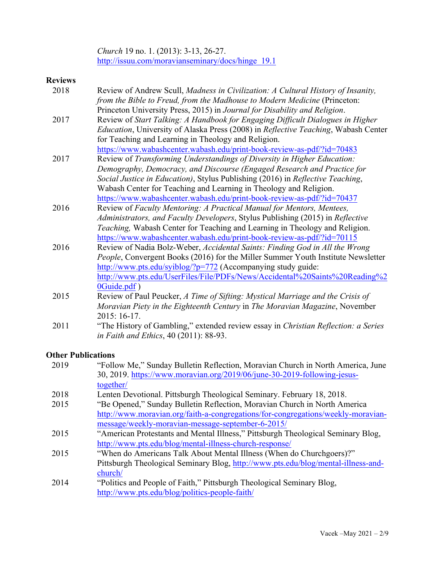*Church* 19 no. 1. (2013): 3-13, 26-27. http://issuu.com/moravianseminary/docs/hinge\_19.1

## **Reviews**

| 2018 | Review of Andrew Scull, Madness in Civilization: A Cultural History of Insanity,                   |
|------|----------------------------------------------------------------------------------------------------|
|      | from the Bible to Freud, from the Madhouse to Modern Medicine (Princeton:                          |
|      | Princeton University Press, 2015) in Journal for Disability and Religion.                          |
| 2017 | Review of Start Talking: A Handbook for Engaging Difficult Dialogues in Higher                     |
|      | <i>Education</i> , University of Alaska Press (2008) in <i>Reflective Teaching</i> , Wabash Center |
|      | for Teaching and Learning in Theology and Religion.                                                |
|      | https://www.wabashcenter.wabash.edu/print-book-review-as-pdf/?id=70483                             |
| 2017 | Review of Transforming Understandings of Diversity in Higher Education:                            |
|      | Demography, Democracy, and Discourse (Engaged Research and Practice for                            |
|      | Social Justice in Education), Stylus Publishing (2016) in Reflective Teaching,                     |
|      | Wabash Center for Teaching and Learning in Theology and Religion.                                  |
|      | https://www.wabashcenter.wabash.edu/print-book-review-as-pdf/?id=70437                             |
| 2016 | Review of Faculty Mentoring: A Practical Manual for Mentors, Mentees,                              |
|      | Administrators, and Faculty Developers, Stylus Publishing (2015) in Reflective                     |
|      | Teaching, Wabash Center for Teaching and Learning in Theology and Religion.                        |
|      | https://www.wabashcenter.wabash.edu/print-book-review-as-pdf/?id=70115                             |
| 2016 | Review of Nadia Bolz-Weber, Accidental Saints: Finding God in All the Wrong                        |
|      | People, Convergent Books (2016) for the Miller Summer Youth Institute Newsletter                   |
|      | http://www.pts.edu/syiblog/?p=772 (Accompanying study guide:                                       |
|      | http://www.pts.edu/UserFiles/File/PDFs/News/Accidental%20Saints%20Reading%2                        |
|      | 0Guide.pdf)                                                                                        |
| 2015 | Review of Paul Peucker, A Time of Sifting: Mystical Marriage and the Crisis of                     |
|      | Moravian Piety in the Eighteenth Century in The Moravian Magazine, November                        |
|      | 2015: 16-17.                                                                                       |
| 2011 | "The History of Gambling," extended review essay in Christian Reflection: a Series                 |
|      | in Faith and Ethics, 40 (2011): 88-93.                                                             |

# **Other Publications**

| 2019 | "Follow Me," Sunday Bulletin Reflection, Moravian Church in North America, June   |
|------|-----------------------------------------------------------------------------------|
|      | 30, 2019. https://www.moravian.org/2019/06/june-30-2019-following-jesus-          |
|      | together/                                                                         |
| 2018 | Lenten Devotional. Pittsburgh Theological Seminary. February 18, 2018.            |
| 2015 | "Be Opened," Sunday Bulletin Reflection, Moravian Church in North America         |
|      | http://www.moravian.org/faith-a-congregations/for-congregations/weekly-moravian-  |
|      | message/weekly-moravian-message-september-6-2015/                                 |
| 2015 | "American Protestants and Mental Illness," Pittsburgh Theological Seminary Blog,  |
|      | http://www.pts.edu/blog/mental-illness-church-response/                           |
| 2015 | "When do Americans Talk About Mental Illness (When do Churchgoers)?"              |
|      | Pittsburgh Theological Seminary Blog, http://www.pts.edu/blog/mental-illness-and- |
|      | church/                                                                           |
| 2014 | "Politics and People of Faith," Pittsburgh Theological Seminary Blog,             |
|      | http://www.pts.edu/blog/politics-people-faith/                                    |
|      |                                                                                   |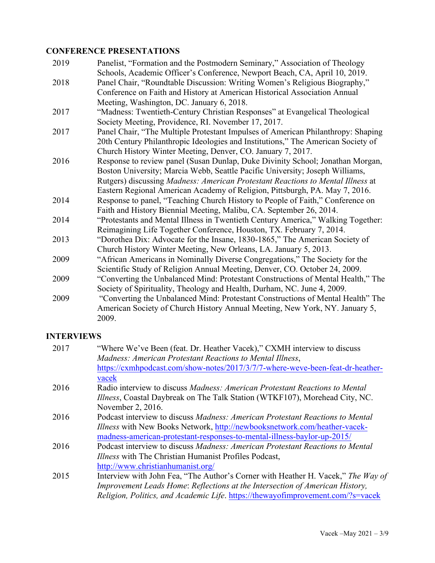## **CONFERENCE PRESENTATIONS**

| 2019 | Panelist, "Formation and the Postmodern Seminary," Association of Theology       |
|------|----------------------------------------------------------------------------------|
|      | Schools, Academic Officer's Conference, Newport Beach, CA, April 10, 2019.       |
| 2018 | Panel Chair, "Roundtable Discussion: Writing Women's Religious Biography,"       |
|      | Conference on Faith and History at American Historical Association Annual        |
|      | Meeting, Washington, DC. January 6, 2018.                                        |
| 2017 | "Madness: Twentieth-Century Christian Responses" at Evangelical Theological      |
|      | Society Meeting, Providence, RI. November 17, 2017.                              |
| 2017 | Panel Chair, "The Multiple Protestant Impulses of American Philanthropy: Shaping |
|      | 20th Century Philanthropic Ideologies and Institutions," The American Society of |
|      | Church History Winter Meeting, Denver, CO. January 7, 2017.                      |
| 2016 | Response to review panel (Susan Dunlap, Duke Divinity School; Jonathan Morgan,   |
|      | Boston University; Marcia Webb, Seattle Pacific University; Joseph Williams,     |
|      | Rutgers) discussing Madness: American Protestant Reactions to Mental Illness at  |
|      | Eastern Regional American Academy of Religion, Pittsburgh, PA. May 7, 2016.      |
| 2014 | Response to panel, "Teaching Church History to People of Faith," Conference on   |
|      | Faith and History Biennial Meeting, Malibu, CA. September 26, 2014.              |
| 2014 | "Protestants and Mental Illness in Twentieth Century America," Walking Together: |
|      | Reimagining Life Together Conference, Houston, TX. February 7, 2014.             |
| 2013 | "Dorothea Dix: Advocate for the Insane, 1830-1865," The American Society of      |
|      | Church History Winter Meeting, New Orleans, LA. January 5, 2013.                 |
| 2009 | "African Americans in Nominally Diverse Congregations," The Society for the      |
|      | Scientific Study of Religion Annual Meeting, Denver, CO. October 24, 2009.       |
| 2009 | "Converting the Unbalanced Mind: Protestant Constructions of Mental Health," The |
|      | Society of Spirituality, Theology and Health, Durham, NC. June 4, 2009.          |
| 2009 | "Converting the Unbalanced Mind: Protestant Constructions of Mental Health" The  |
|      | American Society of Church History Annual Meeting, New York, NY. January 5,      |
|      | 2009.                                                                            |

# **INTERVIEWS**

| 2017 | "Where We've Been (feat. Dr. Heather Vacek)," CXMH interview to discuss<br>Madness: American Protestant Reactions to Mental Illness, |
|------|--------------------------------------------------------------------------------------------------------------------------------------|
|      | https://cxmhpodcast.com/show-notes/2017/3/7/7-where-weve-been-feat-dr-heather-                                                       |
| 2016 | vacek<br>Radio interview to discuss Madness: American Protestant Reactions to Mental                                                 |
|      | <i>Illness</i> , Coastal Daybreak on The Talk Station (WTKF107), Morehead City, NC.                                                  |
|      | November 2, 2016.                                                                                                                    |
| 2016 | Podcast interview to discuss Madness: American Protestant Reactions to Mental                                                        |
|      | <i>Illness</i> with New Books Network, http://newbooksnetwork.com/heather-vacek-                                                     |
|      | madness-american-protestant-responses-to-mental-illness-baylor-up-2015/                                                              |
| 2016 | Podcast interview to discuss Madness: American Protestant Reactions to Mental                                                        |
|      | <i>Illness</i> with The Christian Humanist Profiles Podcast,                                                                         |
|      | http://www.christianhumanist.org/                                                                                                    |
| 2015 | Interview with John Fea, "The Author's Corner with Heather H. Vacek," The Way of                                                     |
|      | Improvement Leads Home: Reflections at the Intersection of American History,                                                         |
|      | Religion, Politics, and Academic Life. https://thewayofimprovement.com/?s=vacek                                                      |
|      |                                                                                                                                      |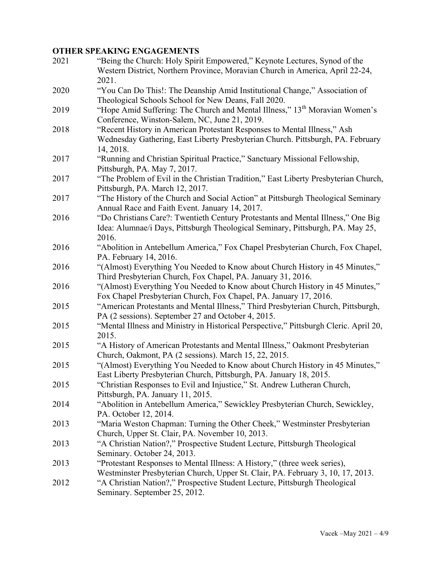# **OTHER SPEAKING ENGAGEMENTS**

| 2021 | "Being the Church: Holy Spirit Empowered," Keynote Lectures, Synod of the<br>Western District, Northern Province, Moravian Church in America, April 22-24,<br>2021.         |
|------|-----------------------------------------------------------------------------------------------------------------------------------------------------------------------------|
| 2020 | "You Can Do This!: The Deanship Amid Institutional Change," Association of<br>Theological Schools School for New Deans, Fall 2020.                                          |
| 2019 | "Hope Amid Suffering: The Church and Mental Illness," 13 <sup>th</sup> Moravian Women's<br>Conference, Winston-Salem, NC, June 21, 2019.                                    |
| 2018 | "Recent History in American Protestant Responses to Mental Illness," Ash<br>Wednesday Gathering, East Liberty Presbyterian Church. Pittsburgh, PA. February                 |
| 2017 | 14, 2018.<br>"Running and Christian Spiritual Practice," Sanctuary Missional Fellowship,<br>Pittsburgh, PA. May 7, 2017.                                                    |
| 2017 | "The Problem of Evil in the Christian Tradition," East Liberty Presbyterian Church,<br>Pittsburgh, PA. March 12, 2017.                                                      |
| 2017 | "The History of the Church and Social Action" at Pittsburgh Theological Seminary<br>Annual Race and Faith Event. January 14, 2017.                                          |
| 2016 | "Do Christians Care?: Twentieth Century Protestants and Mental Illness," One Big<br>Idea: Alumnae/i Days, Pittsburgh Theological Seminary, Pittsburgh, PA. May 25,<br>2016. |
| 2016 | "Abolition in Antebellum America," Fox Chapel Presbyterian Church, Fox Chapel,<br>PA. February 14, 2016.                                                                    |
| 2016 | "(Almost) Everything You Needed to Know about Church History in 45 Minutes,"<br>Third Presbyterian Church, Fox Chapel, PA. January 31, 2016.                                |
| 2016 | "(Almost) Everything You Needed to Know about Church History in 45 Minutes,"<br>Fox Chapel Presbyterian Church, Fox Chapel, PA. January 17, 2016.                           |
| 2015 | "American Protestants and Mental Illness," Third Presbyterian Church, Pittsburgh,<br>PA (2 sessions). September 27 and October 4, 2015.                                     |
| 2015 | "Mental Illness and Ministry in Historical Perspective," Pittsburgh Cleric. April 20,<br>2015.                                                                              |
| 2015 | "A History of American Protestants and Mental Illness," Oakmont Presbyterian<br>Church, Oakmont, PA (2 sessions). March 15, 22, 2015.                                       |
| 2015 | "(Almost) Everything You Needed to Know about Church History in 45 Minutes,"<br>East Liberty Presbyterian Church, Pittsburgh, PA. January 18, 2015.                         |
| 2015 | "Christian Responses to Evil and Injustice," St. Andrew Lutheran Church,<br>Pittsburgh, PA. January 11, 2015.                                                               |
| 2014 | "Abolition in Antebellum America," Sewickley Presbyterian Church, Sewickley,<br>PA. October 12, 2014.                                                                       |
| 2013 | "Maria Weston Chapman: Turning the Other Cheek," Westminster Presbyterian<br>Church, Upper St. Clair, PA. November 10, 2013.                                                |
| 2013 | "A Christian Nation?," Prospective Student Lecture, Pittsburgh Theological<br>Seminary. October 24, 2013.                                                                   |
| 2013 | "Protestant Responses to Mental Illness: A History," (three week series),<br>Westminster Presbyterian Church, Upper St. Clair, PA. February 3, 10, 17, 2013.                |
| 2012 | "A Christian Nation?," Prospective Student Lecture, Pittsburgh Theological<br>Seminary. September 25, 2012.                                                                 |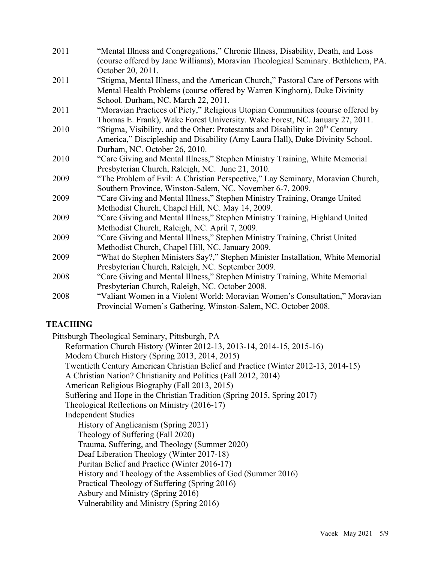| 2011 | "Mental Illness and Congregations," Chronic Illness, Disability, Death, and Loss           |
|------|--------------------------------------------------------------------------------------------|
|      | (course offered by Jane Williams), Moravian Theological Seminary. Bethlehem, PA.           |
|      | October 20, 2011.                                                                          |
| 2011 | "Stigma, Mental Illness, and the American Church," Pastoral Care of Persons with           |
|      | Mental Health Problems (course offered by Warren Kinghorn), Duke Divinity                  |
|      | School. Durham, NC. March 22, 2011.                                                        |
| 2011 | "Moravian Practices of Piety," Religious Utopian Communities (course offered by            |
|      | Thomas E. Frank), Wake Forest University. Wake Forest, NC. January 27, 2011.               |
| 2010 | "Stigma, Visibility, and the Other: Protestants and Disability in 20 <sup>th</sup> Century |
|      | America," Discipleship and Disability (Amy Laura Hall), Duke Divinity School.              |
|      | Durham, NC. October 26, 2010.                                                              |
| 2010 | "Care Giving and Mental Illness," Stephen Ministry Training, White Memorial                |
|      | Presbyterian Church, Raleigh, NC. June 21, 2010.                                           |
| 2009 | "The Problem of Evil: A Christian Perspective," Lay Seminary, Moravian Church,             |
|      | Southern Province, Winston-Salem, NC. November 6-7, 2009.                                  |
| 2009 | "Care Giving and Mental Illness," Stephen Ministry Training, Orange United                 |
|      | Methodist Church, Chapel Hill, NC. May 14, 2009.                                           |
| 2009 | "Care Giving and Mental Illness," Stephen Ministry Training, Highland United               |
|      | Methodist Church, Raleigh, NC. April 7, 2009.                                              |
| 2009 | "Care Giving and Mental Illness," Stephen Ministry Training, Christ United                 |
|      | Methodist Church, Chapel Hill, NC. January 2009.                                           |
| 2009 | "What do Stephen Ministers Say?," Stephen Minister Installation, White Memorial            |
|      | Presbyterian Church, Raleigh, NC. September 2009.                                          |
| 2008 | "Care Giving and Mental Illness," Stephen Ministry Training, White Memorial                |
|      | Presbyterian Church, Raleigh, NC. October 2008.                                            |
| 2008 | "Valiant Women in a Violent World: Moravian Women's Consultation," Moravian                |
|      | Provincial Women's Gathering, Winston-Salem, NC. October 2008.                             |

### **TEACHING**

Pittsburgh Theological Seminary, Pittsburgh, PA

Reformation Church History (Winter 2012-13, 2013-14, 2014-15, 2015-16) Modern Church History (Spring 2013, 2014, 2015) Twentieth Century American Christian Belief and Practice (Winter 2012-13, 2014-15) A Christian Nation? Christianity and Politics (Fall 2012, 2014) American Religious Biography (Fall 2013, 2015) Suffering and Hope in the Christian Tradition (Spring 2015, Spring 2017) Theological Reflections on Ministry (2016-17) Independent Studies History of Anglicanism (Spring 2021) Theology of Suffering (Fall 2020) Trauma, Suffering, and Theology (Summer 2020) Deaf Liberation Theology (Winter 2017-18) Puritan Belief and Practice (Winter 2016-17) History and Theology of the Assemblies of God (Summer 2016) Practical Theology of Suffering (Spring 2016) Asbury and Ministry (Spring 2016) Vulnerability and Ministry (Spring 2016)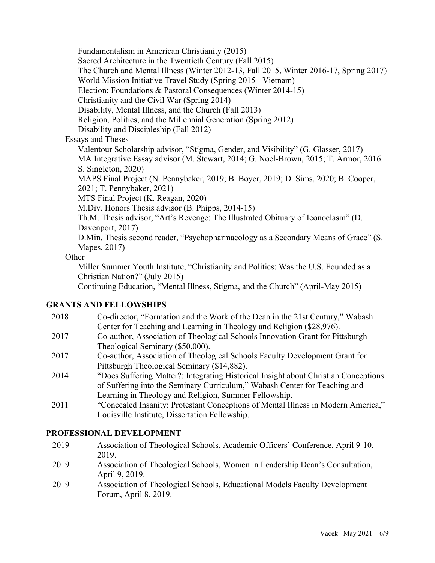Fundamentalism in American Christianity (2015) Sacred Architecture in the Twentieth Century (Fall 2015) The Church and Mental Illness (Winter 2012-13, Fall 2015, Winter 2016-17, Spring 2017) World Mission Initiative Travel Study (Spring 2015 - Vietnam) Election: Foundations & Pastoral Consequences (Winter 2014-15) Christianity and the Civil War (Spring 2014) Disability, Mental Illness, and the Church (Fall 2013) Religion, Politics, and the Millennial Generation (Spring 2012) Disability and Discipleship (Fall 2012) Essays and Theses Valentour Scholarship advisor, "Stigma, Gender, and Visibility" (G. Glasser, 2017) MA Integrative Essay advisor (M. Stewart, 2014; G. Noel-Brown, 2015; T. Armor, 2016. S. Singleton, 2020) MAPS Final Project (N. Pennybaker, 2019; B. Boyer, 2019; D. Sims, 2020; B. Cooper, 2021; T. Pennybaker, 2021) MTS Final Project (K. Reagan, 2020) M.Div. Honors Thesis advisor (B. Phipps, 2014-15) Th.M. Thesis advisor, "Art's Revenge: The Illustrated Obituary of Iconoclasm" (D. Davenport, 2017) D.Min. Thesis second reader, "Psychopharmacology as a Secondary Means of Grace" (S. Mapes, 2017)

### **Other**

Miller Summer Youth Institute, "Christianity and Politics: Was the U.S. Founded as a Christian Nation?" (July 2015)

Continuing Education, "Mental Illness, Stigma, and the Church" (April-May 2015)

### **GRANTS AND FELLOWSHIPS**

- 2018 Co-director, "Formation and the Work of the Dean in the 21st Century," Wabash Center for Teaching and Learning in Theology and Religion (\$28,976).
- 2017 Co-author, Association of Theological Schools Innovation Grant for Pittsburgh Theological Seminary (\$50,000).
- 2017 Co-author, Association of Theological Schools Faculty Development Grant for Pittsburgh Theological Seminary (\$14,882).
- 2014 "Does Suffering Matter?: Integrating Historical Insight about Christian Conceptions of Suffering into the Seminary Curriculum," Wabash Center for Teaching and Learning in Theology and Religion, Summer Fellowship.
- 2011 "Concealed Insanity: Protestant Conceptions of Mental Illness in Modern America," Louisville Institute, Dissertation Fellowship.

### **PROFESSIONAL DEVELOPMENT**

- 2019 Association of Theological Schools, Academic Officers' Conference, April 9-10, 2019.
- 2019 Association of Theological Schools, Women in Leadership Dean's Consultation, April 9, 2019.
- 2019 Association of Theological Schools, Educational Models Faculty Development Forum, April 8, 2019.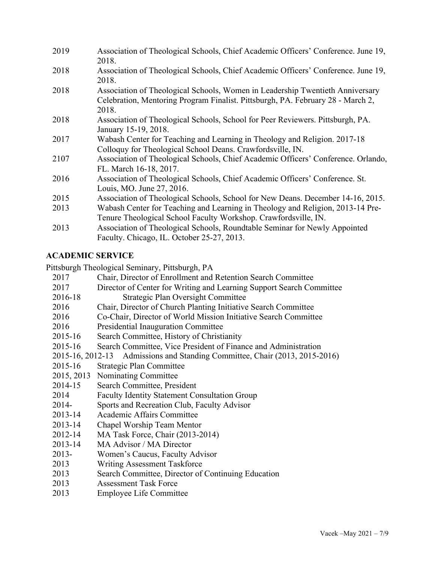| 2019 | Association of Theological Schools, Chief Academic Officers' Conference. June 19,<br>2018.                                                                                |
|------|---------------------------------------------------------------------------------------------------------------------------------------------------------------------------|
| 2018 | Association of Theological Schools, Chief Academic Officers' Conference. June 19,<br>2018.                                                                                |
| 2018 | Association of Theological Schools, Women in Leadership Twentieth Anniversary<br>Celebration, Mentoring Program Finalist. Pittsburgh, PA. February 28 - March 2,<br>2018. |
| 2018 | Association of Theological Schools, School for Peer Reviewers. Pittsburgh, PA.<br>January 15-19, 2018.                                                                    |
| 2017 | Wabash Center for Teaching and Learning in Theology and Religion. 2017-18<br>Colloquy for Theological School Deans. Crawfordsville, IN.                                   |
| 2107 | Association of Theological Schools, Chief Academic Officers' Conference. Orlando,<br>FL. March 16-18, 2017.                                                               |
| 2016 | Association of Theological Schools, Chief Academic Officers' Conference. St.<br>Louis, MO. June 27, 2016.                                                                 |
| 2015 | Association of Theological Schools, School for New Deans. December 14-16, 2015.                                                                                           |
| 2013 | Wabash Center for Teaching and Learning in Theology and Religion, 2013-14 Pre-<br>Tenure Theological School Faculty Workshop. Crawfordsville, IN.                         |
| 2013 | Association of Theological Schools, Roundtable Seminar for Newly Appointed<br>Faculty. Chicago, IL. October 25-27, 2013.                                                  |

# **ACADEMIC SERVICE**

Pittsburgh Theological Seminary, Pittsburgh, PA

| 2017        | Chair, Director of Enrollment and Retention Search Committee                |
|-------------|-----------------------------------------------------------------------------|
| 2017        | Director of Center for Writing and Learning Support Search Committee        |
| 2016-18     | <b>Strategic Plan Oversight Committee</b>                                   |
| 2016        | Chair, Director of Church Planting Initiative Search Committee              |
| 2016        | Co-Chair, Director of World Mission Initiative Search Committee             |
| 2016        | Presidential Inauguration Committee                                         |
| 2015-16     | Search Committee, History of Christianity                                   |
| 2015-16     | Search Committee, Vice President of Finance and Administration              |
|             | 2015-16, 2012-13 Admissions and Standing Committee, Chair (2013, 2015-2016) |
| 2015-16     | <b>Strategic Plan Committee</b>                                             |
| 2015, 2013  | Nominating Committee                                                        |
| 2014-15     | Search Committee, President                                                 |
| 2014        | <b>Faculty Identity Statement Consultation Group</b>                        |
| $2014-$     | Sports and Recreation Club, Faculty Advisor                                 |
| 2013-14     | Academic Affairs Committee                                                  |
| $2013 - 14$ | Chapel Worship Team Mentor                                                  |
| 2012-14     | MA Task Force, Chair (2013-2014)                                            |
| 2013-14     | MA Advisor / MA Director                                                    |
| $2013 -$    | Women's Caucus, Faculty Advisor                                             |
| 2013        | <b>Writing Assessment Taskforce</b>                                         |
| 2013        | Search Committee, Director of Continuing Education                          |
| 2013        | <b>Assessment Task Force</b>                                                |

2013 Employee Life Committee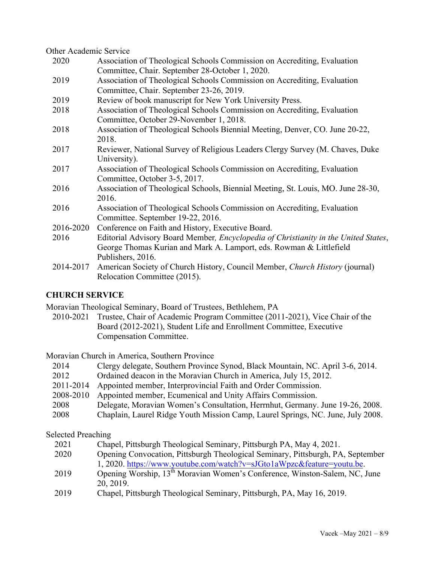Other Academic Service

| 2020      | Association of Theological Schools Commission on Accrediting, Evaluation            |
|-----------|-------------------------------------------------------------------------------------|
|           | Committee, Chair. September 28-October 1, 2020.                                     |
| 2019      | Association of Theological Schools Commission on Accrediting, Evaluation            |
|           | Committee, Chair. September 23-26, 2019.                                            |
| 2019      | Review of book manuscript for New York University Press.                            |
| 2018      | Association of Theological Schools Commission on Accrediting, Evaluation            |
|           | Committee, October 29-November 1, 2018.                                             |
| 2018      | Association of Theological Schools Biennial Meeting, Denver, CO. June 20-22,        |
|           | 2018.                                                                               |
| 2017      | Reviewer, National Survey of Religious Leaders Clergy Survey (M. Chaves, Duke       |
|           | University).                                                                        |
| 2017      | Association of Theological Schools Commission on Accrediting, Evaluation            |
|           | Committee, October 3-5, 2017.                                                       |
| 2016      | Association of Theological Schools, Biennial Meeting, St. Louis, MO. June 28-30,    |
|           | 2016.                                                                               |
| 2016      | Association of Theological Schools Commission on Accrediting, Evaluation            |
|           | Committee. September 19-22, 2016.                                                   |
| 2016-2020 | Conference on Faith and History, Executive Board.                                   |
| 2016      | Editorial Advisory Board Member, Encyclopedia of Christianity in the United States, |
|           | George Thomas Kurian and Mark A. Lamport, eds. Rowman & Littlefield                 |
|           | Publishers, 2016.                                                                   |
| 2014-2017 | American Society of Church History, Council Member, Church History (journal)        |
|           | Relocation Committee (2015).                                                        |

### **CHURCH SERVICE**

Moravian Theological Seminary, Board of Trustees, Bethlehem, PA

2010-2021 Trustee, Chair of Academic Program Committee (2011-2021), Vice Chair of the Board (2012-2021), Student Life and Enrollment Committee, Executive Compensation Committee.

Moravian Church in America, Southern Province

| 2014 | Clergy delegate, Southern Province Synod, Black Mountain, NC. April 3-6, 2014. |  |
|------|--------------------------------------------------------------------------------|--|
|      |                                                                                |  |

- 2012 Ordained deacon in the Moravian Church in America, July 15, 2012.
- 2011-2014 Appointed member, Interprovincial Faith and Order Commission.
- 2008-2010 Appointed member, Ecumenical and Unity Affairs Commission.
- 2008 Delegate, Moravian Women's Consultation, Herrnhut, Germany. June 19-26, 2008.
- 2008 Chaplain, Laurel Ridge Youth Mission Camp, Laurel Springs, NC. June, July 2008.

Selected Preaching

- 2021 Chapel, Pittsburgh Theological Seminary, Pittsburgh PA, May 4, 2021.
- 2020 Opening Convocation, Pittsburgh Theological Seminary, Pittsburgh, PA, September 1, 2020. https://www.youtube.com/watch?v=sJGto1aWpzc&feature=youtu.be.
- 2019 Opening Worship, 13<sup>th</sup> Moravian Women's Conference, Winston-Salem, NC, June 20, 2019.
- 2019 Chapel, Pittsburgh Theological Seminary, Pittsburgh, PA, May 16, 2019.